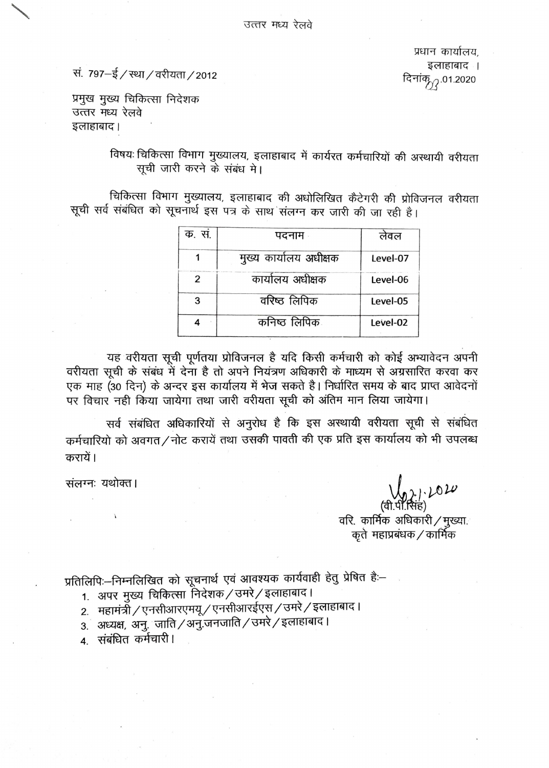प्रधान कार्यालय. इलाहाबाद । दिनांक्<sub>77.</sub>01.2020

सं. 797-ई / स्था / वरीयता / 2012

प्रमुख मुख्य चिकित्सा निदेशक उत्तर मध्य रेलवे इलाहाबाद।

> विषयः चिकित्सा विभाग मुख्यालय, इलाहाबाद में कार्यरत कर्मचारियों की अस्थायी वरीयता सची जारी करने के संबंध मे।

चिकित्सा विभाग मुख्यालय, इलाहाबाद की अधोलिखित कैटेगरी की प्रोविजनल वरीयता सूची सर्व संबंधित को सूचनार्थ इस पत्र के साथ संलग्न कर जारी की जा रही है।

| क. सं. | पदनाम                  | लेवल     |  |  |
|--------|------------------------|----------|--|--|
|        | मुख्य कार्यालय अधीक्षक | Level-07 |  |  |
| 2      | कार्यालय अधीक्षक       | Level-06 |  |  |
| 3      | वरिष्ठ लिपिक           | Level-05 |  |  |
|        | कनिष्ठ लिपिकः          | Level-02 |  |  |

यह वरीयता सूची पूर्णतया प्रोविजनल है यदि किसी कर्मचारी को कोई अभ्यावेदन अपनी वरीयता सूची के संबंध में देना है तो अपने नियंत्रण अधिकारी के माध्यम से अग्रसारित करवा कर एक माह (30 दिन) के अन्दर इस कार्यालय में भेज सकते है। निर्धारित समय के बाद प्राप्त आवेदनों पर विचार नही किया जायेगा तथा जारी वरीयता सूची को अंतिम मान लिया जायेगा।

सर्व संबंधित अधिकारियों से अनुरोध है कि इस अस्थायी वरीयता सूची से संबंधित कर्मचारियो को अवगत/नोट करायें तथा उसकी पावती की एक प्रति इस कार्यालय को भी उपलब्ध करायें।

संलग्नः यथोक्त।

 $1.1010$ (सिंह) वरि. कार्मिक अधिकारी / मुख्या. कृते महाप्रबंधक / कार्मिक

प्रतिलिपिः-निम्नलिखित को सूचनार्थ एवं आवश्यक कार्यवाही हेतु प्रेषित हैः-

- 1. अपर मुख्य चिकित्सा निदेशक / उमरे / इलाहाबाद।
- 2. महामंत्री / एनसीआरएमयू / एनसीआरईएस / उमरे / इलाहाबाद।
- 3. अध्यक्ष, अनु. जाति / अनु.जनजाति / उमरे / इलाहाबाद।
- 4. संबंधित कर्मचारी ।